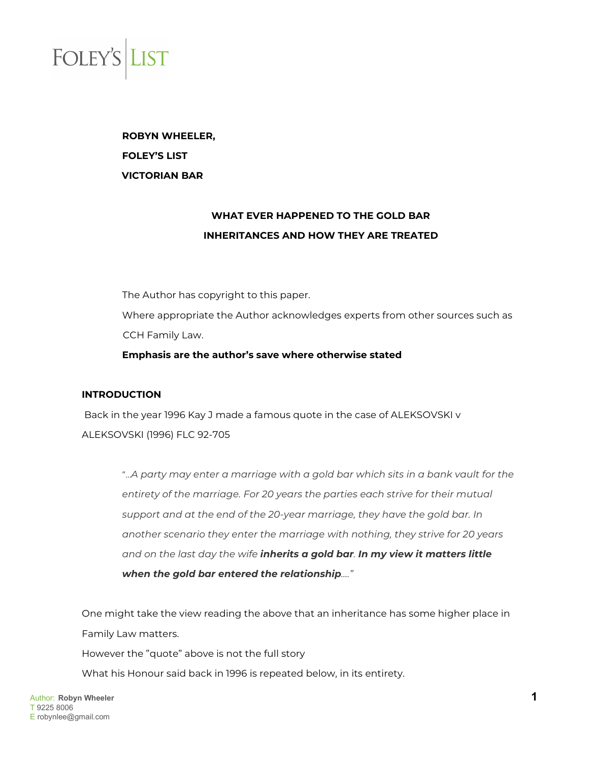

**ROBYN WHEELER, FOLEY'S LIST VICTORIAN BAR**

### **WHAT EVER HAPPENED TO THE GOLD BAR INHERITANCES AND HOW THEY ARE TREATED**

The Author has copyright to this paper. Where appropriate the Author acknowledges experts from other sources such as CCH Family Law. **Emphasis are the author's save where otherwise stated**

### **INTRODUCTION**

Back in the year 1996 Kay J made a famous quote in the case of ALEKSOVSKI v ALEKSOVSKI (1996) FLC 92-705

> "…*A party may enter a marriage with a gold bar which sits in a bank vault for the entirety of the marriage. For 20 years the parties each strive for their mutual support and at the end of the 20-year marriage, they have the gold bar. In another scenario they enter the marriage with nothing, they strive for 20 years and on the last day the wife inherits a gold bar. In my view it matters little when the gold bar entered the relationship…."*

One might take the view reading the above that an inheritance has some higher place in Family Law matters.

However the "quote" above is not the full story

What his Honour said back in 1996 is repeated below, in its entirety.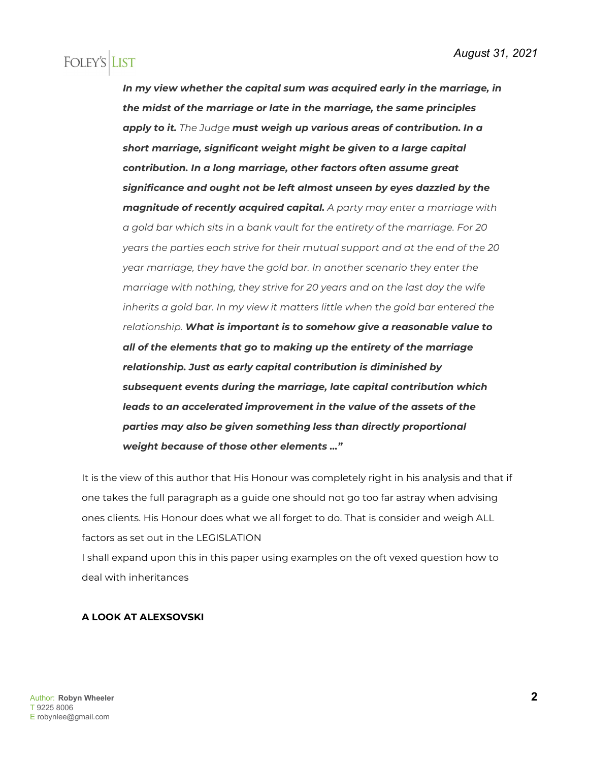*In my view whether the capital sum was acquired early in the marriage, in the midst of the marriage or late in the marriage, the same principles apply to it. The Judge must weigh up various areas of contribution. In a short marriage, significant weight might be given to a large capital contribution. In a long marriage, other factors often assume great significance and ought not be left almost unseen by eyes dazzled by the magnitude of recently acquired capital. A party may enter a marriage with a gold bar which sits in a bank vault for the entirety of the marriage. For 20 years the parties each strive for their mutual support and at the end of the 20 year marriage, they have the gold bar. In another scenario they enter the marriage with nothing, they strive for 20 years and on the last day the wife inherits a gold bar. In my view it matters little when the gold bar entered the relationship. What is important is to somehow give a reasonable value to all of the elements that go to making up the entirety of the marriage relationship. Just as early capital contribution is diminished by subsequent events during the marriage, late capital contribution which leads to an accelerated improvement in the value of the assets of the parties may also be given something less than directly proportional weight because of those other elements …"*

It is the view of this author that His Honour was completely right in his analysis and that if one takes the full paragraph as a guide one should not go too far astray when advising ones clients. His Honour does what we all forget to do. That is consider and weigh ALL factors as set out in the LEGISLATION

I shall expand upon this in this paper using examples on the oft vexed question how to deal with inheritances

#### **A LOOK AT ALEXSOVSKI**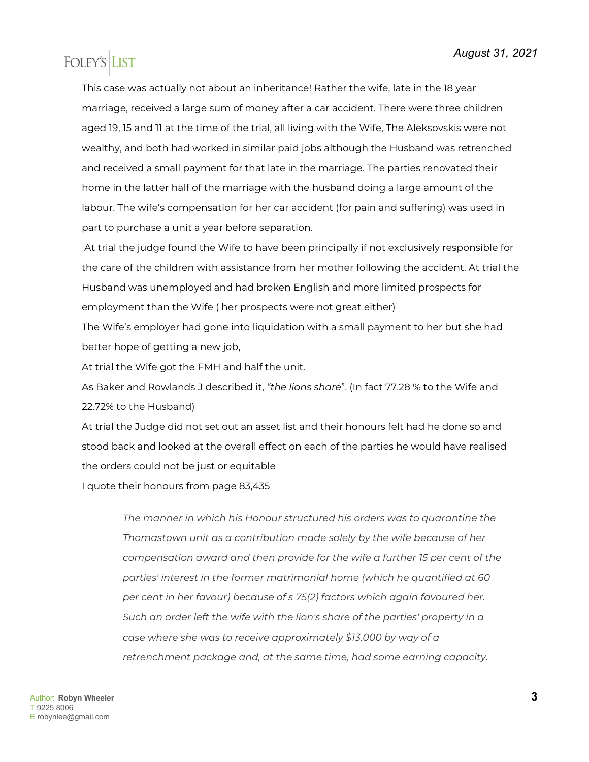This case was actually not about an inheritance! Rather the wife, late in the 18 year marriage, received a large sum of money after a car accident. There were three children aged 19, 15 and 11 at the time of the trial, all living with the Wife, The Aleksovskis were not wealthy, and both had worked in similar paid jobs although the Husband was retrenched and received a small payment for that late in the marriage. The parties renovated their home in the latter half of the marriage with the husband doing a large amount of the labour. The wife's compensation for her car accident (for pain and suffering) was used in part to purchase a unit a year before separation.

At trial the judge found the Wife to have been principally if not exclusively responsible for the care of the children with assistance from her mother following the accident. At trial the Husband was unemployed and had broken English and more limited prospects for employment than the Wife ( her prospects were not great either)

The Wife's employer had gone into liquidation with a small payment to her but she had better hope of getting a new job,

At trial the Wife got the FMH and half the unit.

As Baker and Rowlands J described it, *"the lions share*". (In fact 77.28 % to the Wife and 22.72% to the Husband)

At trial the Judge did not set out an asset list and their honours felt had he done so and stood back and looked at the overall effect on each of the parties he would have realised the orders could not be just or equitable

I quote their honours from page 83,435

*The manner in which his Honour structured his orders was to quarantine the Thomastown unit as a contribution made solely by the wife because of her compensation award and then provide for the wife a further 15 per cent of the parties' interest in the former matrimonial home (which he quantified at 60 per cent in her favour) because of s 75(2) factors which again favoured her. Such an order left the wife with the lion's share of the parties' property in a case where she was to receive approximately \$13,000 by way of a retrenchment package and, at the same time, had some earning capacity.*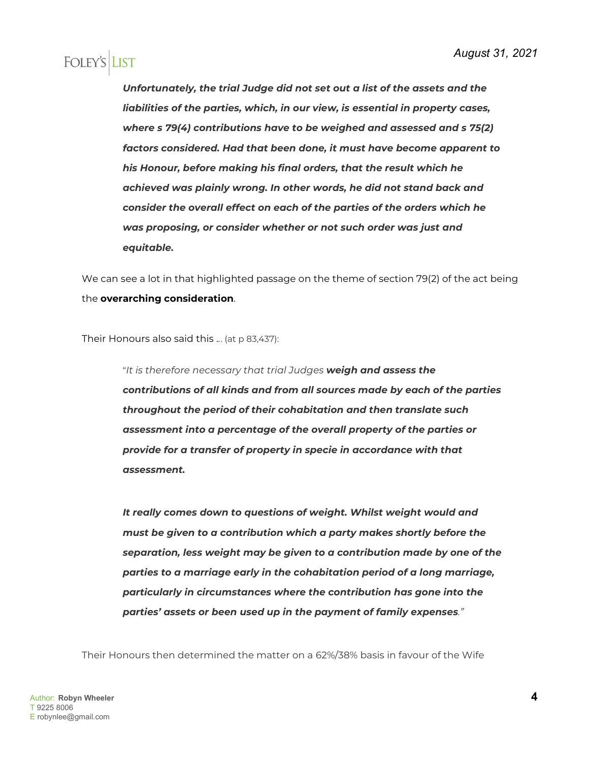*Unfortunately, the trial Judge did not set out a list of the assets and the liabilities of the parties, which, in our view, is essential in property cases, where s 79(4) contributions have to be weighed and assessed and s 75(2) factors considered. Had that been done, it must have become apparent to his Honour, before making his final orders, that the result which he achieved was plainly wrong. In other words, he did not stand back and consider the overall effect on each of the parties of the orders which he was proposing, or consider whether or not such order was just and equitable.*

We can see a lot in that highlighted passage on the theme of section 79(2) of the act being the **overarching consideration**.

Their Honours also said this .*.*. (at p 83,437):

"*It is therefore necessary that trial Judges weigh and assess the contributions of all kinds and from all sources made by each of the parties throughout the period of their cohabitation and then translate such assessment into a percentage of the overall property of the parties or provide for a transfer of property in specie in accordance with that assessment.*

*It really comes down to questions of weight. Whilst weight would and must be given to a contribution which a party makes shortly before the separation, less weight may be given to a contribution made by one of the parties to a marriage early in the cohabitation period of a long marriage, particularly in circumstances where the contribution has gone into the parties' assets or been used up in the payment of family expenses."*

Their Honours then determined the matter on a 62%/38% basis in favour of the Wife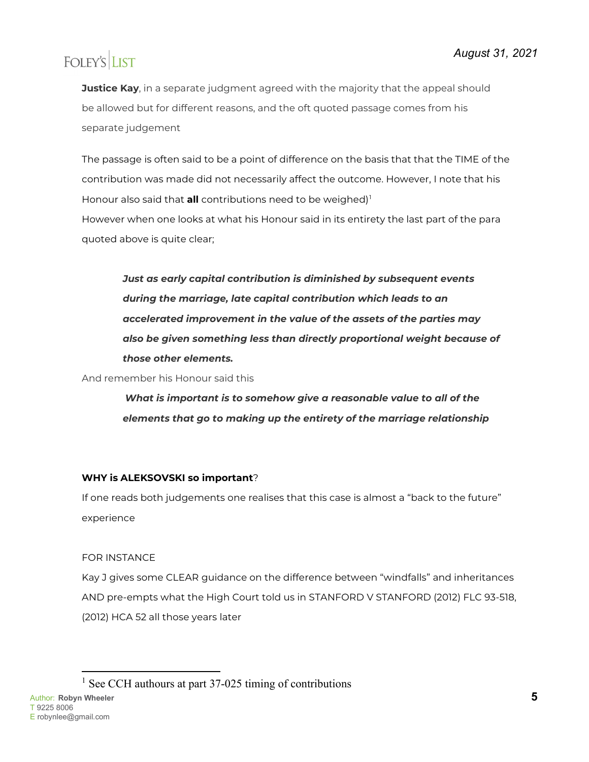**Justice Kay**, in a separate judgment agreed with the majority that the appeal should be allowed but for different reasons, and the oft quoted passage comes from his separate judgement

The passage is often said to be a point of difference on the basis that that the TIME of the contribution was made did not necessarily affect the outcome. However, I note that his Honour also said that **all** contributions need to be weighed)<sup>[1](#page-4-0)</sup> However when one looks at what his Honour said in its entirety the last part of the para quoted above is quite clear;

*Just as early capital contribution is diminished by subsequent events during the marriage, late capital contribution which leads to an accelerated improvement in the value of the assets of the parties may also be given something less than directly proportional weight because of those other elements.*

And remember his Honour said this

*What is important is to somehow give a reasonable value to all of the elements that go to making up the entirety of the marriage relationship*

### **WHY is ALEKSOVSKI so important**?

If one reads both judgements one realises that this case is almost a "back to the future" experience

### FOR INSTANCE

Kay J gives some CLEAR guidance on the difference between "windfalls" and inheritances AND pre-empts what the High Court told us in STANFORD V STANFORD (2012) FLC 93-518, (2012) HCA 52 all those years later

<span id="page-4-0"></span><sup>1</sup> See CCH authours at part  $37-025$  timing of contributions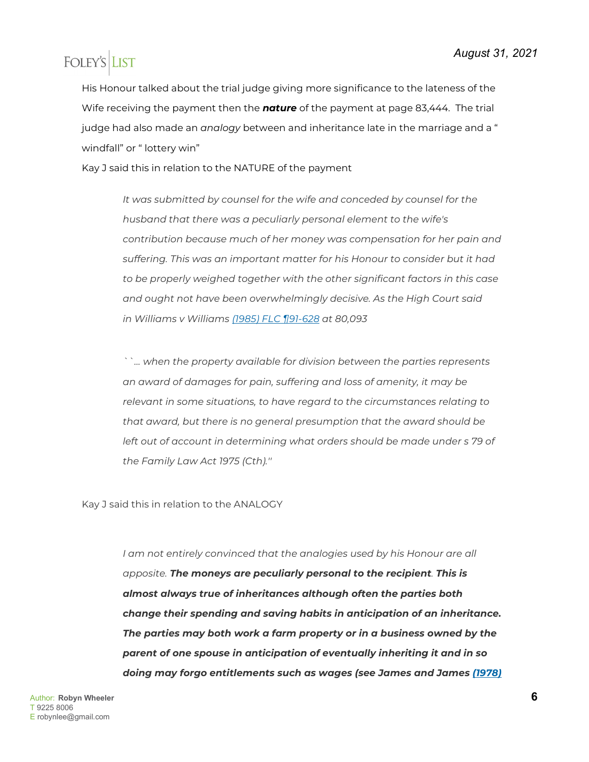His Honour talked about the trial judge giving more significance to the lateness of the Wife receiving the payment then the *nature* of the payment at page 83,444. The trial judge had also made an *analogy* between and inheritance late in the marriage and a " windfall" or " lottery win"

Kay J said this in relation to the NATURE of the payment

*It was submitted by counsel for the wife and conceded by counsel for the husband that there was a peculiarly personal element to the wife's contribution because much of her money was compensation for her pain and suffering. This was an important matter for his Honour to consider but it had to be properly weighed together with the other significant factors in this case and ought not have been overwhelmingly decisive. As the High Court said in Williams v Williams [\(1985\) FLC ¶91-628](javascript:void(0)) at 80,093*

*``... when the property available for division between the parties represents an award of damages for pain, suffering and loss of amenity, it may be relevant in some situations, to have regard to the circumstances relating to that award, but there is no general presumption that the award should be*  left out of account in determining what orders should be made under s 79 of *the Family Law Act 1975 (Cth).''*

Kay J said this in relation to the ANALOGY

*I* am not entirely convinced that the analogies used by his Honour are all *apposite. The moneys are peculiarly personal to the recipient. This is almost always true of inheritances although often the parties both change their spending and saving habits in anticipation of an inheritance. The parties may both work a farm property or in a business owned by the parent of one spouse in anticipation of eventually inheriting it and in so doing may forgo entitlements such as wages (see James and James [\(1978\)](javascript:void(0))*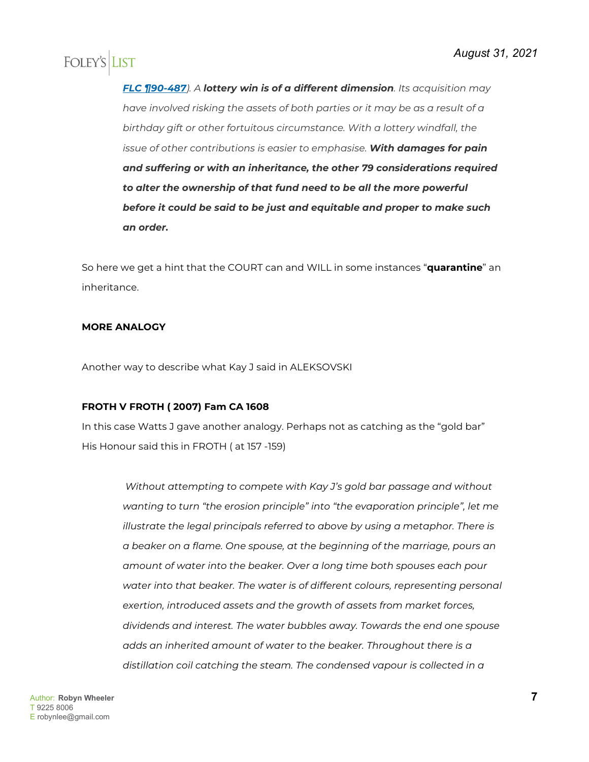*[FLC ¶90-487](javascript:void(0))). A lottery win is of a different dimension. Its acquisition may have involved risking the assets of both parties or it may be as a result of a birthday gift or other fortuitous circumstance. With a lottery windfall, the issue of other contributions is easier to emphasise. With damages for pain and suffering or with an inheritance, the other 79 considerations required to alter the ownership of that fund need to be all the more powerful before it could be said to be just and equitable and proper to make such an order.*

So here we get a hint that the COURT can and WILL in some instances "**quarantine**" an inheritance.

#### **MORE ANALOGY**

Another way to describe what Kay J said in ALEKSOVSKI

#### **FROTH V FROTH ( 2007) Fam CA 1608**

In this case Watts J gave another analogy. Perhaps not as catching as the "gold bar" His Honour said this in FROTH ( at 157 -159)

> *Without attempting to compete with Kay J's gold bar passage and without wanting to turn "the erosion principle" into "the evaporation principle", let me illustrate the legal principals referred to above by using a metaphor. There is a beaker on a flame. One spouse, at the beginning of the marriage, pours an amount of water into the beaker. Over a long time both spouses each pour water into that beaker. The water is of different colours, representing personal exertion, introduced assets and the growth of assets from market forces, dividends and interest. The water bubbles away. Towards the end one spouse adds an inherited amount of water to the beaker. Throughout there is a distillation coil catching the steam. The condensed vapour is collected in a*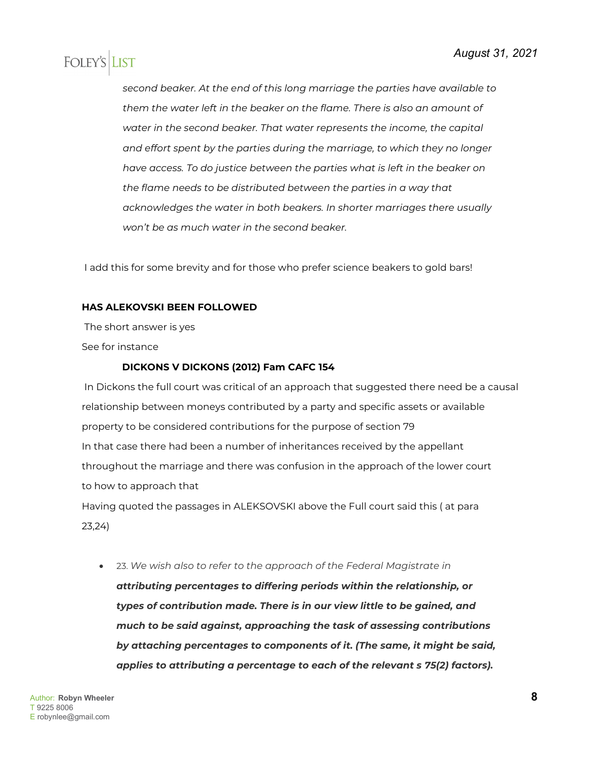*second beaker. At the end of this long marriage the parties have available to them the water left in the beaker on the flame. There is also an amount of water in the second beaker. That water represents the income, the capital and effort spent by the parties during the marriage, to which they no longer have access. To do justice between the parties what is left in the beaker on the flame needs to be distributed between the parties in a way that acknowledges the water in both beakers. In shorter marriages there usually won't be as much water in the second beaker.* 

I add this for some brevity and for those who prefer science beakers to gold bars!

#### **HAS ALEKOVSKI BEEN FOLLOWED**

The short answer is yes

See for instance

#### **DICKONS V DICKONS (2012) Fam CAFC 154**

In Dickons the full court was critical of an approach that suggested there need be a causal relationship between moneys contributed by a party and specific assets or available property to be considered contributions for the purpose of section 79 In that case there had been a number of inheritances received by the appellant throughout the marriage and there was confusion in the approach of the lower court to how to approach that Having quoted the passages in ALEKSOVSKI above the Full court said this ( at para 23,24)

• 23. *We wish also to refer to the approach of the Federal Magistrate in* 

*attributing percentages to differing periods within the relationship, or types of contribution made. There is in our view little to be gained, and much to be said against, approaching the task of assessing contributions by attaching percentages to components of it. (The same, it might be said, applies to attributing a percentage to each of the relevant s 75(2) factors).*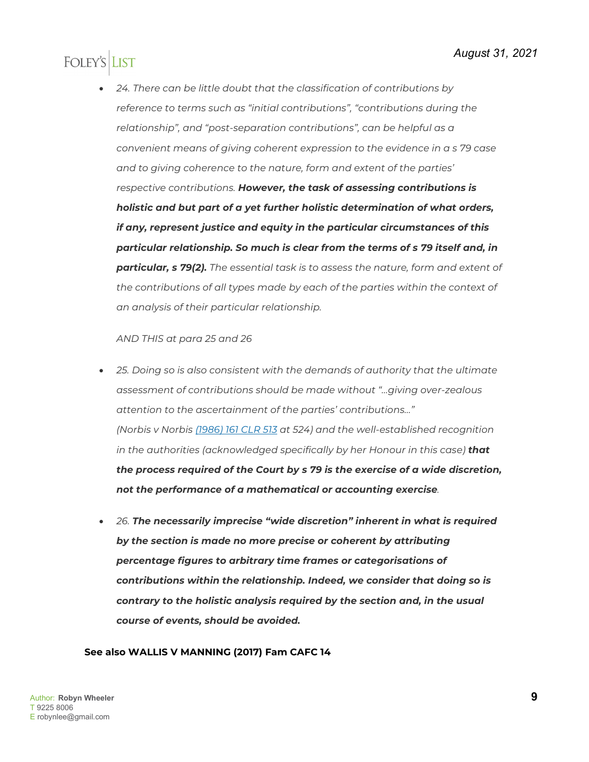• *24. There can be little doubt that the classification of contributions by reference to terms such as "initial contributions", "contributions during the relationship", and "post-separation contributions", can be helpful as a convenient means of giving coherent expression to the evidence in a s 79 case and to giving coherence to the nature, form and extent of the parties' respective contributions. However, the task of assessing contributions is holistic and but part of a yet further holistic determination of what orders, if any, represent justice and equity in the particular circumstances of this particular relationship. So much is clear from the terms of s 79 itself and, in particular, s 79(2). The essential task is to assess the nature, form and extent of the contributions of all types made by each of the parties within the context of an analysis of their particular relationship.*

#### *AND THIS at para 25 and 26*

- *25. Doing so is also consistent with the demands of authority that the ultimate assessment of contributions should be made without "…giving over-zealous attention to the ascertainment of the parties' contributions…" (Norbis v Norbis [\(1986\) 161 CLR 513](http://www.austlii.edu.au/cgi-bin/viewdoc/au/cases/cth/HCA/1986/17.html) at 524) and the well-established recognition in the authorities (acknowledged specifically by her Honour in this case) that the process required of the Court by s 79 is the exercise of a wide discretion, not the performance of a mathematical or accounting exercise.*
- *26. The necessarily imprecise "wide discretion" inherent in what is required by the section is made no more precise or coherent by attributing percentage figures to arbitrary time frames or categorisations of contributions within the relationship. Indeed, we consider that doing so is contrary to the holistic analysis required by the section and, in the usual course of events, should be avoided.*

#### **See also WALLIS V MANNING (2017) Fam CAFC 14**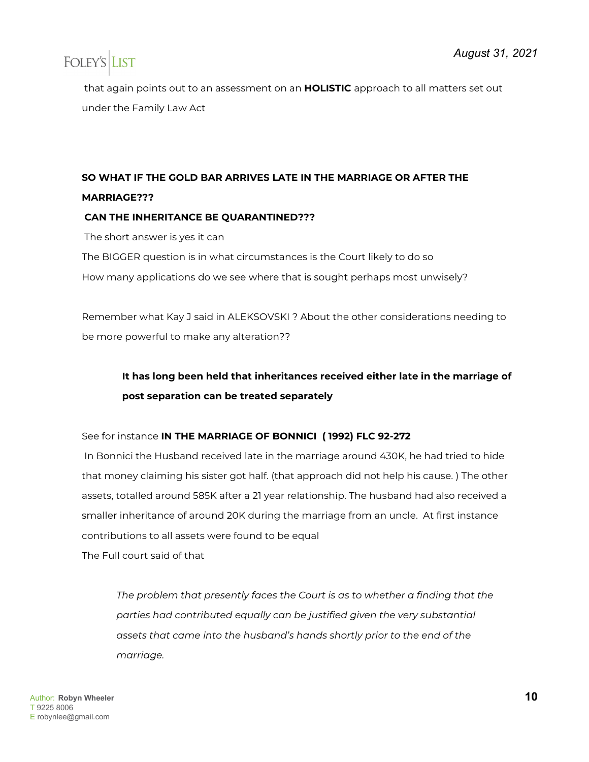that again points out to an assessment on an **HOLISTIC** approach to all matters set out under the Family Law Act

### **SO WHAT IF THE GOLD BAR ARRIVES LATE IN THE MARRIAGE OR AFTER THE MARRIAGE???**

#### **CAN THE INHERITANCE BE QUARANTINED???**

The short answer is yes it can

The BIGGER question is in what circumstances is the Court likely to do so How many applications do we see where that is sought perhaps most unwisely?

Remember what Kay J said in ALEKSOVSKI ? About the other considerations needing to be more powerful to make any alteration??

### **It has long been held that inheritances received either late in the marriage of post separation can be treated separately**

See for instance **IN THE MARRIAGE OF BONNICI ( 1992) FLC 92-272**

In Bonnici the Husband received late in the marriage around 430K, he had tried to hide that money claiming his sister got half. (that approach did not help his cause. ) The other assets, totalled around 585K after a 21 year relationship. The husband had also received a smaller inheritance of around 20K during the marriage from an uncle. At first instance contributions to all assets were found to be equal

The Full court said of that

*The problem that presently faces the Court is as to whether a finding that the parties had contributed equally can be justified given the very substantial assets that came into the husband's hands shortly prior to the end of the marriage.*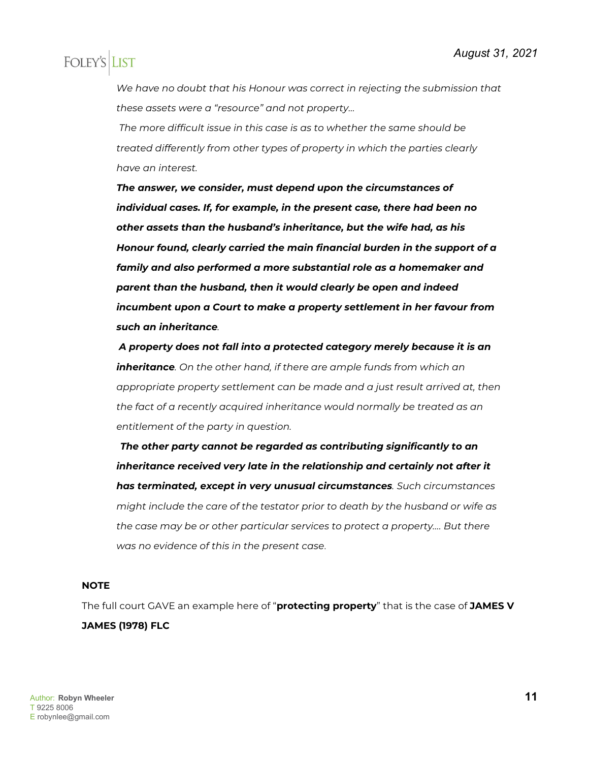*We have no doubt that his Honour was correct in rejecting the submission that these assets were a "resource" and not property…*

*The more difficult issue in this case is as to whether the same should be treated differently from other types of property in which the parties clearly have an interest.* 

*The answer, we consider, must depend upon the circumstances of individual cases. If, for example, in the present case, there had been no other assets than the husband's inheritance, but the wife had, as his Honour found, clearly carried the main financial burden in the support of a family and also performed a more substantial role as a homemaker and parent than the husband, then it would clearly be open and indeed incumbent upon a Court to make a property settlement in her favour from such an inheritance.*

*A property does not fall into a protected category merely because it is an inheritance. On the other hand, if there are ample funds from which an appropriate property settlement can be made and a just result arrived at, then the fact of a recently acquired inheritance would normally be treated as an entitlement of the party in question.*

*The other party cannot be regarded as contributing significantly to an inheritance received very late in the relationship and certainly not after it has terminated, except in very unusual circumstances. Such circumstances might include the care of the testator prior to death by the husband or wife as the case may be or other particular services to protect a property…. But there was no evidence of this in the present case*.

#### **NOTE**

The full court GAVE an example here of "**protecting property**" that is the case of **JAMES V JAMES (1978) FLC**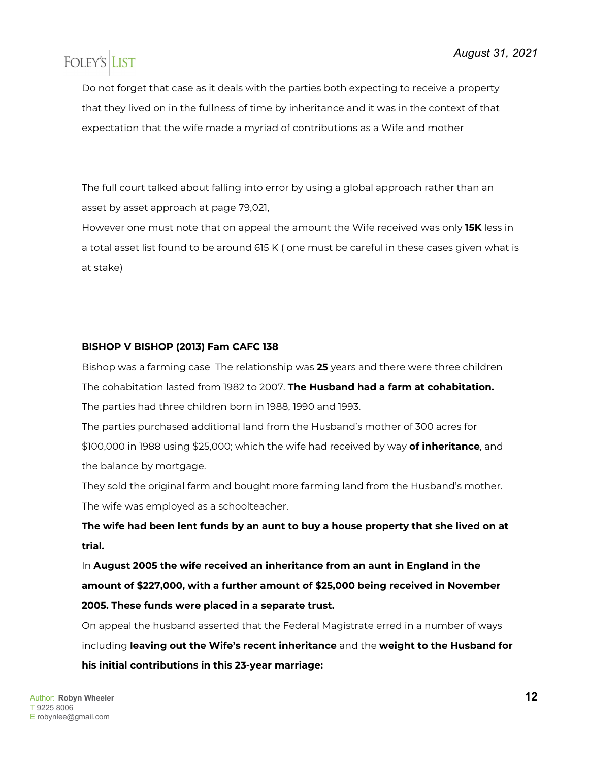Do not forget that case as it deals with the parties both expecting to receive a property that they lived on in the fullness of time by inheritance and it was in the context of that expectation that the wife made a myriad of contributions as a Wife and mother

The full court talked about falling into error by using a global approach rather than an asset by asset approach at page 79,021,

However one must note that on appeal the amount the Wife received was only **15K** less in a total asset list found to be around 615 K ( one must be careful in these cases given what is at stake)

### **BISHOP V BISHOP (2013) Fam CAFC 138**

Bishop was a farming case The relationship was **25** years and there were three children The cohabitation lasted from 1982 to 2007. **The Husband had a farm at cohabitation.** The parties had three children born in 1988, 1990 and 1993.

The parties purchased additional land from the Husband's mother of 300 acres for \$100,000 in 1988 using \$25,000; which the wife had received by way **of inheritance**, and the balance by mortgage.

They sold the original farm and bought more farming land from the Husband's mother. The wife was employed as a schoolteacher.

**The wife had been lent funds by an aunt to buy a house property that she lived on at trial.**

In **August 2005 the wife received an inheritance from an aunt in England in the amount of \$227,000, with a further amount of \$25,000 being received in November 2005. These funds were placed in a separate trust.**

On appeal the husband asserted that the Federal Magistrate erred in a number of ways including **leaving out the Wife's recent inheritance** and the **weight to the Husband for his initial contributions in this 23-year marriage:**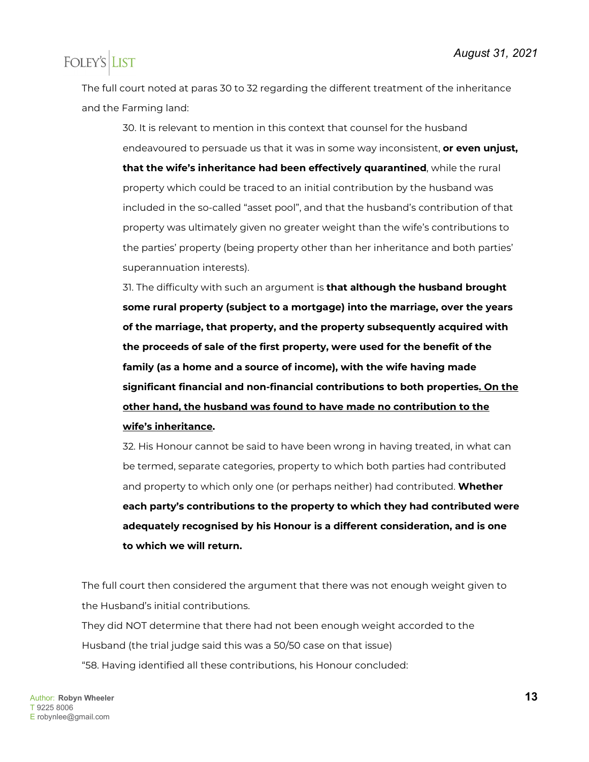The full court noted at paras 30 to 32 regarding the different treatment of the inheritance and the Farming land:

30. It is relevant to mention in this context that counsel for the husband endeavoured to persuade us that it was in some way inconsistent, **or even unjust, that the wife's inheritance had been effectively quarantined**, while the rural property which could be traced to an initial contribution by the husband was included in the so-called "asset pool", and that the husband's contribution of that property was ultimately given no greater weight than the wife's contributions to the parties' property (being property other than her inheritance and both parties' superannuation interests).

31. The difficulty with such an argument is **that although the husband brought some rural property (subject to a mortgage) into the marriage, over the years of the marriage, that property, and the property subsequently acquired with the proceeds of sale of the first property, were used for the benefit of the family (as a home and a source of income), with the wife having made significant financial and non-financial contributions to both properties. On the other hand, the husband was found to have made no contribution to the wife's inheritance.**

32. His Honour cannot be said to have been wrong in having treated, in what can be termed, separate categories, property to which both parties had contributed and property to which only one (or perhaps neither) had contributed. **Whether each party's contributions to the property to which they had contributed were adequately recognised by his Honour is a different consideration, and is one to which we will return.**

The full court then considered the argument that there was not enough weight given to the Husband's initial contributions.

They did NOT determine that there had not been enough weight accorded to the Husband (the trial judge said this was a 50/50 case on that issue) "58. Having identified all these contributions, his Honour concluded: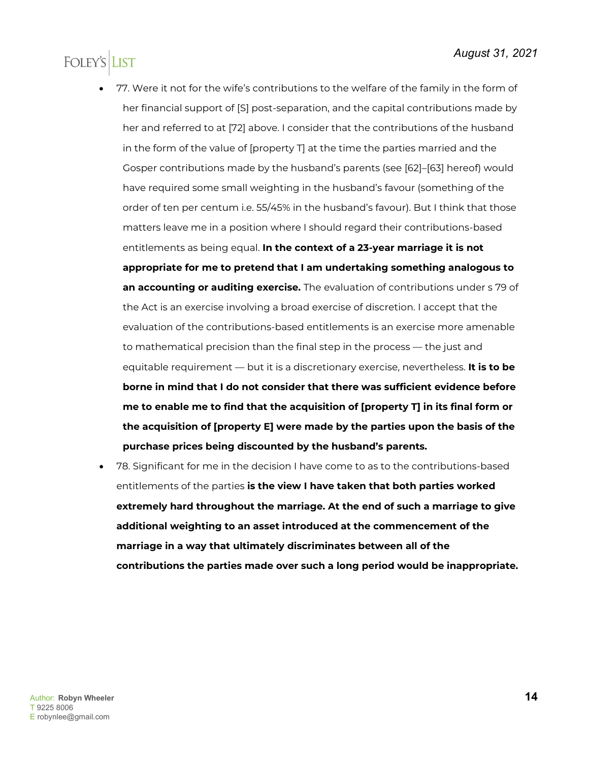- 77. Were it not for the wife's contributions to the welfare of the family in the form of her financial support of [S] post-separation, and the capital contributions made by her and referred to at [72] above. I consider that the contributions of the husband in the form of the value of [property T] at the time the parties married and the Gosper contributions made by the husband's parents (see [62]–[63] hereof) would have required some small weighting in the husband's favour (something of the order of ten per centum i.e. 55/45% in the husband's favour). But I think that those matters leave me in a position where I should regard their contributions-based entitlements as being equal. **In the context of a 23-year marriage it is not appropriate for me to pretend that I am undertaking something analogous to an accounting or auditing exercise.** The evaluation of contributions under s 79 of the Act is an exercise involving a broad exercise of discretion. I accept that the evaluation of the contributions-based entitlements is an exercise more amenable to mathematical precision than the final step in the process — the just and equitable requirement — but it is a discretionary exercise, nevertheless. **It is to be borne in mind that I do not consider that there was sufficient evidence before me to enable me to find that the acquisition of [property T] in its final form or the acquisition of [property E] were made by the parties upon the basis of the purchase prices being discounted by the husband's parents.**
- 78. Significant for me in the decision I have come to as to the contributions-based entitlements of the parties **is the view I have taken that both parties worked extremely hard throughout the marriage. At the end of such a marriage to give additional weighting to an asset introduced at the commencement of the marriage in a way that ultimately discriminates between all of the contributions the parties made over such a long period would be inappropriate.**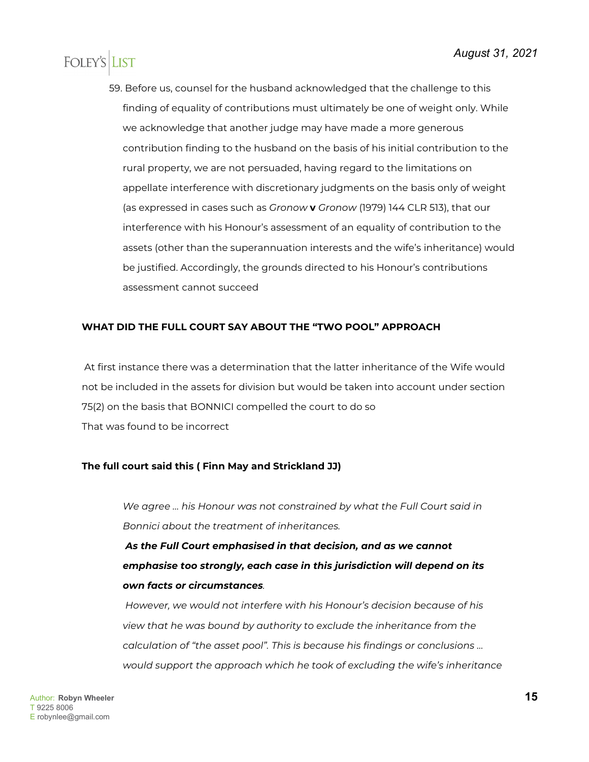59. Before us, counsel for the husband acknowledged that the challenge to this finding of equality of contributions must ultimately be one of weight only. While we acknowledge that another judge may have made a more generous contribution finding to the husband on the basis of his initial contribution to the rural property, we are not persuaded, having regard to the limitations on appellate interference with discretionary judgments on the basis only of weight (as expressed in cases such as *Gronow* **v** *Gronow* (1979) 144 CLR 513), that our interference with his Honour's assessment of an equality of contribution to the assets (other than the superannuation interests and the wife's inheritance) would be justified. Accordingly, the grounds directed to his Honour's contributions assessment cannot succeed

#### **WHAT DID THE FULL COURT SAY ABOUT THE "TWO POOL" APPROACH**

At first instance there was a determination that the latter inheritance of the Wife would not be included in the assets for division but would be taken into account under section 75(2) on the basis that BONNICI compelled the court to do so That was found to be incorrect

#### **The full court said this ( Finn May and Strickland JJ)**

*We agree … his Honour was not constrained by what the Full Court said in Bonnici about the treatment of inheritances.*

*As the Full Court emphasised in that decision, and as we cannot emphasise too strongly, each case in this jurisdiction will depend on its own facts or circumstances.*

*However, we would not interfere with his Honour's decision because of his view that he was bound by authority to exclude the inheritance from the calculation of "the asset pool". This is because his findings or conclusions … would support the approach which he took of excluding the wife's inheritance*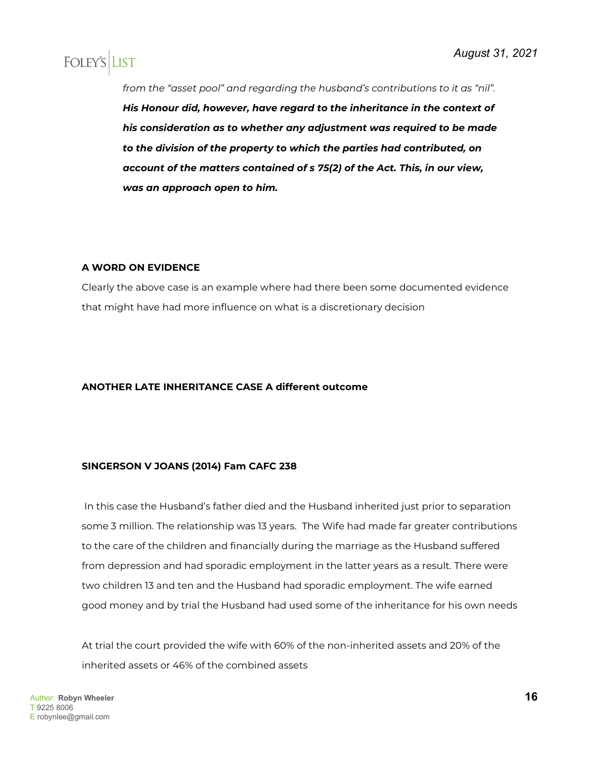*from the "asset pool" and regarding the husband's contributions to it as "nil". His Honour did, however, have regard to the inheritance in the context of his consideration as to whether any adjustment was required to be made to the division of the property to which the parties had contributed, on account of the matters contained of s 75(2) of the Act. This, in our view, was an approach open to him.*

#### **A WORD ON EVIDENCE**

Clearly the above case is an example where had there been some documented evidence that might have had more influence on what is a discretionary decision

#### **ANOTHER LATE INHERITANCE CASE A different outcome**

#### **SINGERSON V JOANS (2014) Fam CAFC 238**

In this case the Husband's father died and the Husband inherited just prior to separation some 3 million. The relationship was 13 years. The Wife had made far greater contributions to the care of the children and financially during the marriage as the Husband suffered from depression and had sporadic employment in the latter years as a result. There were two children 13 and ten and the Husband had sporadic employment. The wife earned good money and by trial the Husband had used some of the inheritance for his own needs

At trial the court provided the wife with 60% of the non-inherited assets and 20% of the inherited assets or 46% of the combined assets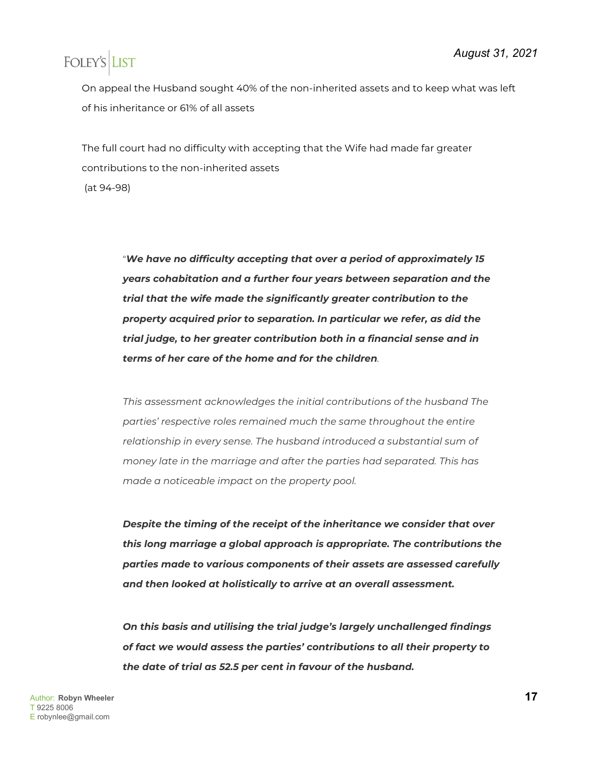On appeal the Husband sought 40% of the non-inherited assets and to keep what was left of his inheritance or 61% of all assets

The full court had no difficulty with accepting that the Wife had made far greater contributions to the non-inherited assets (at 94-98)

> "*We have no difficulty accepting that over a period of approximately 15 years cohabitation and a further four years between separation and the trial that the wife made the significantly greater contribution to the property acquired prior to separation. In particular we refer, as did the trial judge, to her greater contribution both in a financial sense and in terms of her care of the home and for the children.*

> *This assessment acknowledges the initial contributions of the husband The parties' respective roles remained much the same throughout the entire relationship in every sense. The husband introduced a substantial sum of money late in the marriage and after the parties had separated. This has made a noticeable impact on the property pool.*

*Despite the timing of the receipt of the inheritance we consider that over this long marriage a global approach is appropriate. The contributions the parties made to various components of their assets are assessed carefully and then looked at holistically to arrive at an overall assessment.*

*On this basis and utilising the trial judge's largely unchallenged findings of fact we would assess the parties' contributions to all their property to the date of trial as 52.5 per cent in favour of the husband.*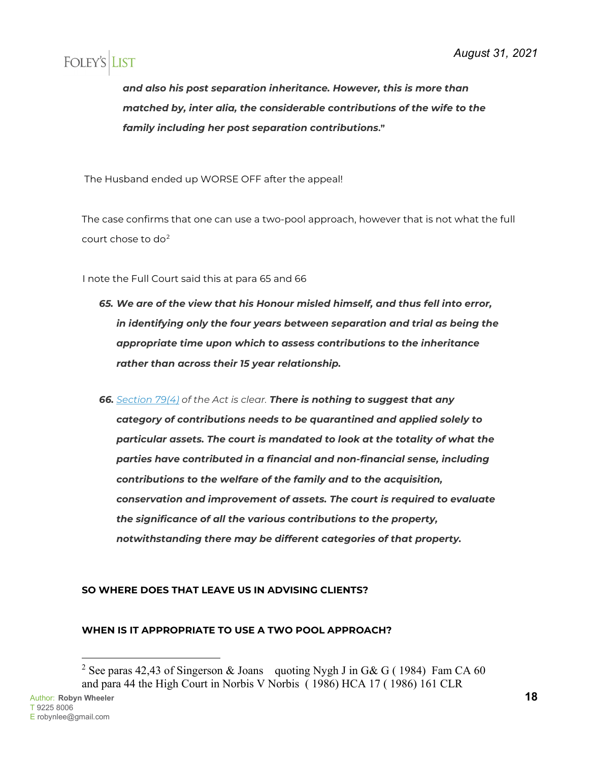*and also his post separation inheritance. However, this is more than matched by, inter alia, the considerable contributions of the wife to the family including her post separation contributions***."**

The Husband ended up WORSE OFF after the appeal!

The case confirms that one can use a two-pool approach, however that is not what the full court chose to do[2](#page-17-0)

I note the Full Court said this at para 65 and 66

- *65. We are of the view that his Honour misled himself, and thus fell into error, in identifying only the four years between separation and trial as being the appropriate time upon which to assess contributions to the inheritance rather than across their 15 year relationship.*
- *66. [Section 79\(4\)](http://www.austlii.edu.au/cgi-bin/viewdoc/au/legis/cth/consol_act/fla1975114/s79.html) of the Act is clear. There is nothing to suggest that any category of contributions needs to be quarantined and applied solely to particular assets. The court is mandated to look at the totality of what the parties have contributed in a financial and non-financial sense, including contributions to the welfare of the family and to the acquisition, conservation and improvement of assets. The court is required to evaluate the significance of all the various contributions to the property, notwithstanding there may be different categories of that property.*

### **SO WHERE DOES THAT LEAVE US IN ADVISING CLIENTS?**

### **WHEN IS IT APPROPRIATE TO USE A TWO POOL APPROACH?**

<span id="page-17-0"></span><sup>&</sup>lt;sup>2</sup> See paras 42,43 of Singerson & Joans quoting Nygh J in G& G (1984) Fam CA 60 and para 44 the High Court in Norbis V Norbis ( 1986) HCA 17 ( 1986) 161 CLR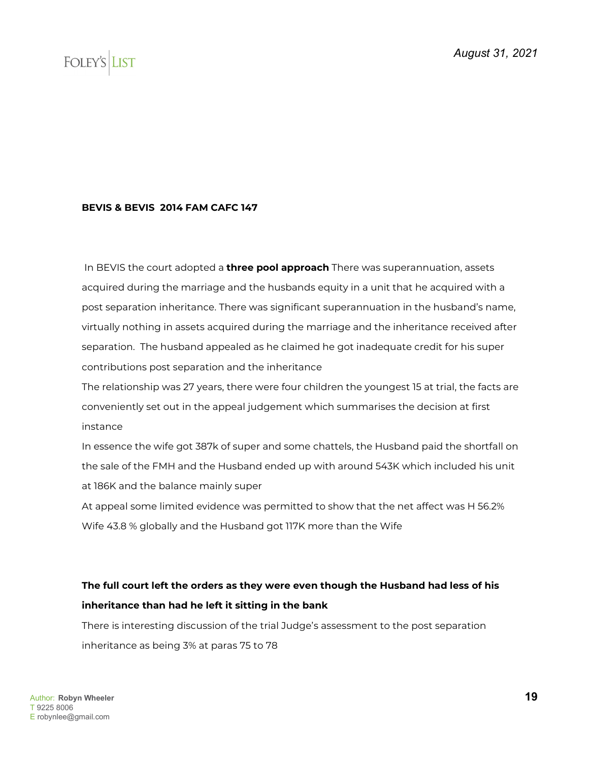#### **BEVIS & BEVIS 2014 FAM CAFC 147**

In BEVIS the court adopted a **three pool approach** There was superannuation, assets acquired during the marriage and the husbands equity in a unit that he acquired with a post separation inheritance. There was significant superannuation in the husband's name, virtually nothing in assets acquired during the marriage and the inheritance received after separation. The husband appealed as he claimed he got inadequate credit for his super contributions post separation and the inheritance

The relationship was 27 years, there were four children the youngest 15 at trial, the facts are conveniently set out in the appeal judgement which summarises the decision at first instance

In essence the wife got 387k of super and some chattels, the Husband paid the shortfall on the sale of the FMH and the Husband ended up with around 543K which included his unit at 186K and the balance mainly super

At appeal some limited evidence was permitted to show that the net affect was H 56.2% Wife 43.8 % globally and the Husband got 117K more than the Wife

### **The full court left the orders as they were even though the Husband had less of his inheritance than had he left it sitting in the bank**

There is interesting discussion of the trial Judge's assessment to the post separation inheritance as being 3% at paras 75 to 78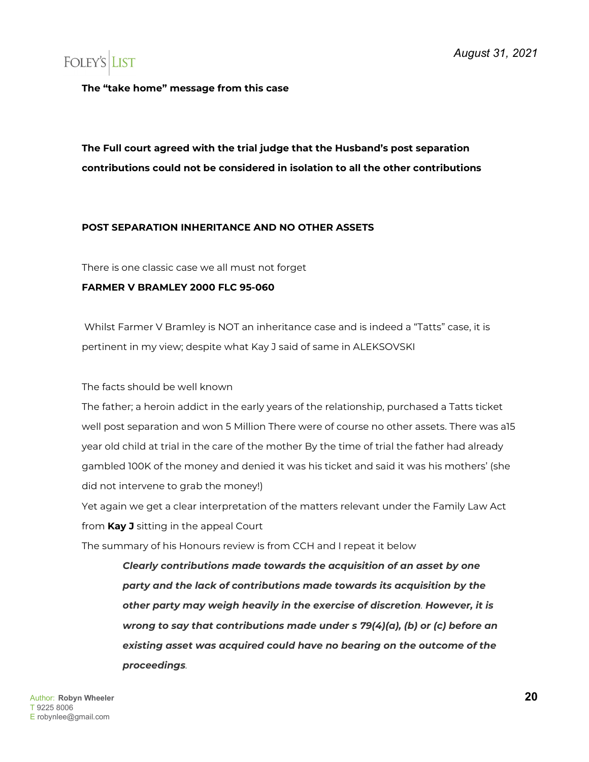**The "take home" message from this case** 

### **The Full court agreed with the trial judge that the Husband's post separation contributions could not be considered in isolation to all the other contributions**

#### **POST SEPARATION INHERITANCE AND NO OTHER ASSETS**

There is one classic case we all must not forget

#### **FARMER V BRAMLEY 2000 FLC 95-060**

Whilst Farmer V Bramley is NOT an inheritance case and is indeed a "Tatts" case, it is pertinent in my view; despite what Kay J said of same in ALEKSOVSKI

The facts should be well known

The father; a heroin addict in the early years of the relationship, purchased a Tatts ticket well post separation and won 5 Million There were of course no other assets. There was a15 year old child at trial in the care of the mother By the time of trial the father had already gambled 100K of the money and denied it was his ticket and said it was his mothers' (she did not intervene to grab the money!)

Yet again we get a clear interpretation of the matters relevant under the Family Law Act from **Kay J** sitting in the appeal Court

The summary of his Honours review is from CCH and I repeat it below

*Clearly contributions made towards the acquisition of an asset by one party and the lack of contributions made towards its acquisition by the other party may weigh heavily in the exercise of discretion. However, it is wrong to say that contributions made under s 79(4)(a), (b) or (c) before an existing asset was acquired could have no bearing on the outcome of the proceedings.*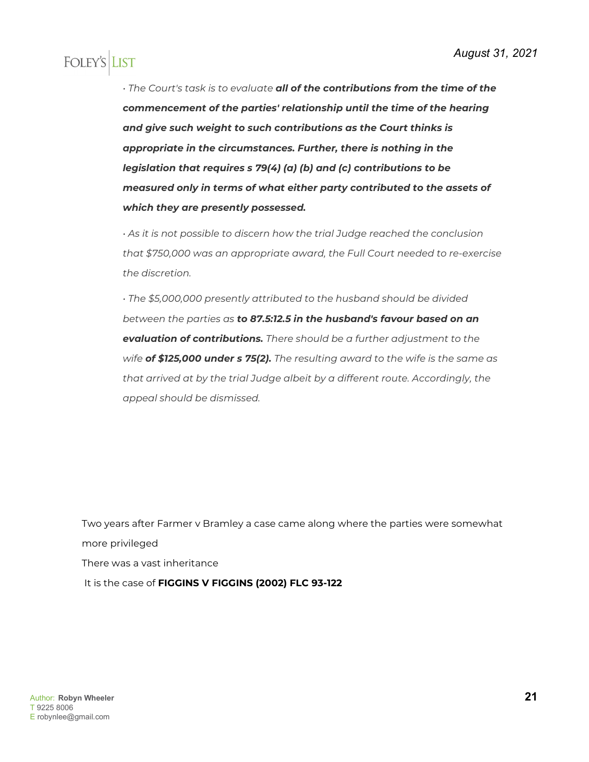*• The Court's task is to evaluate all of the contributions from the time of the commencement of the parties' relationship until the time of the hearing and give such weight to such contributions as the Court thinks is appropriate in the circumstances. Further, there is nothing in the legislation that requires s 79(4) (a) (b) and (c) contributions to be measured only in terms of what either party contributed to the assets of which they are presently possessed.*

*• As it is not possible to discern how the trial Judge reached the conclusion that \$750,000 was an appropriate award, the Full Court needed to re-exercise the discretion.*

*• The \$5,000,000 presently attributed to the husband should be divided between the parties as to 87.5:12.5 in the husband's favour based on an evaluation of contributions. There should be a further adjustment to the wife of \$125,000 under s 75(2). The resulting award to the wife is the same as that arrived at by the trial Judge albeit by a different route. Accordingly, the appeal should be dismissed.*

Two years after Farmer v Bramley a case came along where the parties were somewhat more privileged There was a vast inheritance It is the case of **FIGGINS V FIGGINS (2002) FLC 93-122**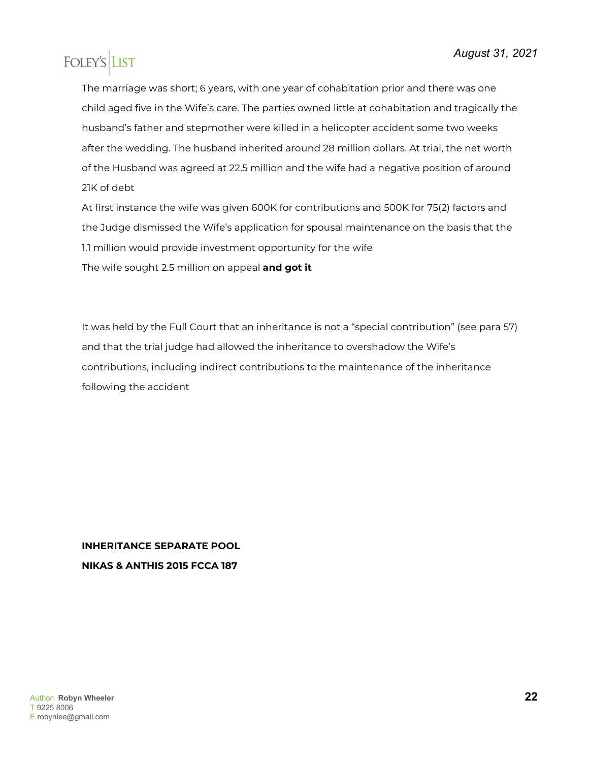The marriage was short; 6 years, with one year of cohabitation prior and there was one child aged five in the Wife's care. The parties owned little at cohabitation and tragically the husband's father and stepmother were killed in a helicopter accident some two weeks after the wedding. The husband inherited around 28 million dollars. At trial, the net worth of the Husband was agreed at 22.5 million and the wife had a negative position of around 21K of debt

At first instance the wife was given 600K for contributions and 500K for 75(2) factors and the Judge dismissed the Wife's application for spousal maintenance on the basis that the 1.1 million would provide investment opportunity for the wife The wife sought 2.5 million on appeal **and got it**

It was held by the Full Court that an inheritance is not a "special contribution" (see para 57) and that the trial judge had allowed the inheritance to overshadow the Wife's contributions, including indirect contributions to the maintenance of the inheritance following the accident

### **INHERITANCE SEPARATE POOL NIKAS & ANTHIS 2015 FCCA 187**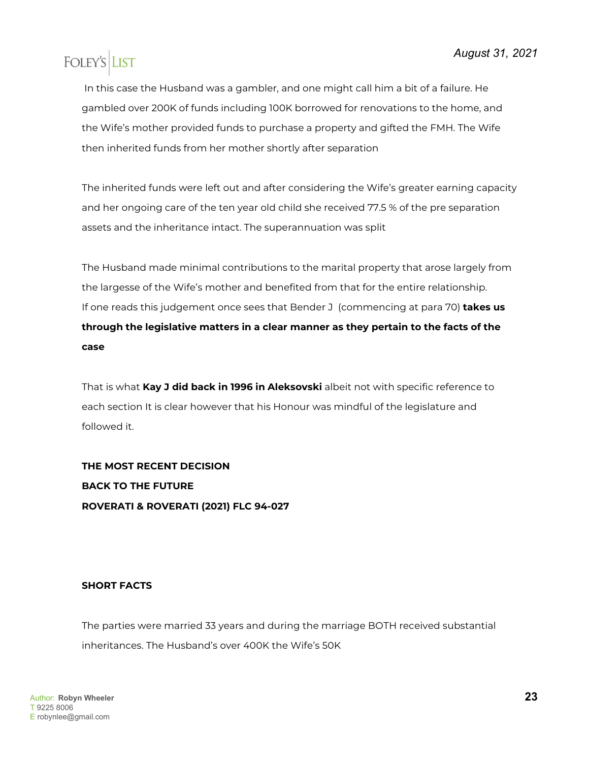In this case the Husband was a gambler, and one might call him a bit of a failure. He gambled over 200K of funds including 100K borrowed for renovations to the home, and the Wife's mother provided funds to purchase a property and gifted the FMH. The Wife then inherited funds from her mother shortly after separation

The inherited funds were left out and after considering the Wife's greater earning capacity and her ongoing care of the ten year old child she received 77.5 % of the pre separation assets and the inheritance intact. The superannuation was split

The Husband made minimal contributions to the marital property that arose largely from the largesse of the Wife's mother and benefited from that for the entire relationship. If one reads this judgement once sees that Bender J (commencing at para 70) **takes us through the legislative matters in a clear manner as they pertain to the facts of the case**

That is what **Kay J did back in 1996 in Aleksovski** albeit not with specific reference to each section It is clear however that his Honour was mindful of the legislature and followed it.

**THE MOST RECENT DECISION BACK TO THE FUTURE ROVERATI & ROVERATI (2021) FLC 94-027**

### **SHORT FACTS**

The parties were married 33 years and during the marriage BOTH received substantial inheritances. The Husband's over 400K the Wife's 50K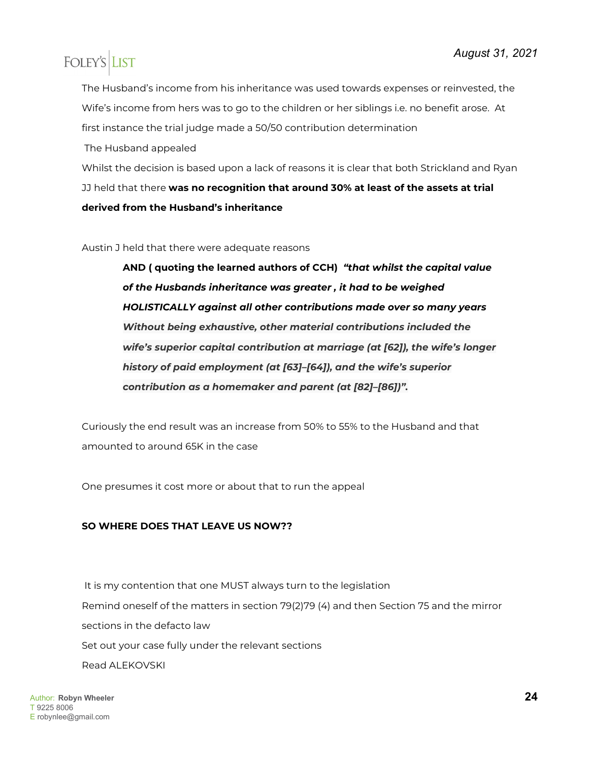The Husband's income from his inheritance was used towards expenses or reinvested, the Wife's income from hers was to go to the children or her siblings i.e. no benefit arose. At first instance the trial judge made a 50/50 contribution determination

The Husband appealed

Whilst the decision is based upon a lack of reasons it is clear that both Strickland and Ryan JJ held that there **was no recognition that around 30% at least of the assets at trial derived from the Husband's inheritance**

Austin J held that there were adequate reasons

**AND ( quoting the learned authors of CCH)** *"that whilst the capital value of the Husbands inheritance was greater , it had to be weighed HOLISTICALLY against all other contributions made over so many years Without being exhaustive, other material contributions included the wife's superior capital contribution at marriage (at [62]), the wife's longer history of paid employment (at [63]–[64]), and the wife's superior contribution as a homemaker and parent (at [82]–[86])".*

Curiously the end result was an increase from 50% to 55% to the Husband and that amounted to around 65K in the case

One presumes it cost more or about that to run the appeal

### **SO WHERE DOES THAT LEAVE US NOW??**

It is my contention that one MUST always turn to the legislation Remind oneself of the matters in section 79(2)79 (4) and then Section 75 and the mirror sections in the defacto law Set out your case fully under the relevant sections Read ALEKOVSKI